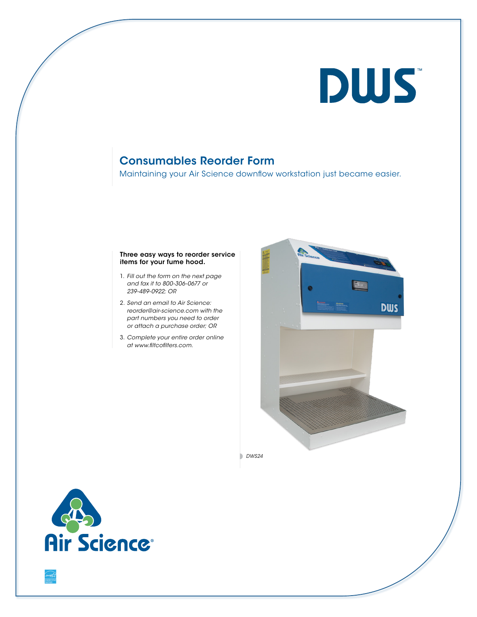# **DWS**

# Consumables Reorder Form

Maintaining your Air Science downflow workstation just became easier.

## Three easy ways to reorder service items for your fume hood.

- 1. *Fill out the form on the next page and fax it to 800-306-0677 or 239-489-0922; OR*
- 2. *Send an email to Air Science: reorder@air-science.com with the part numbers you need to order or attach a purchase order; OR*
- 3. *Complete your entire order online at www.filtcofilters.com.*



*DWS24*

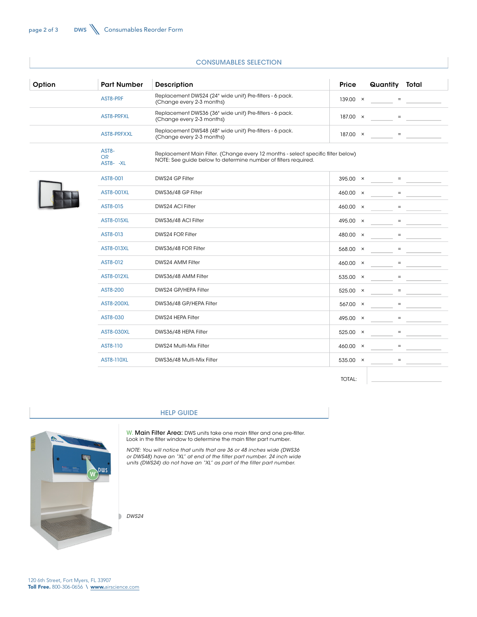| Option | <b>Part Number</b>              | Description                                                                                                                                        | Price           | Quantity Total    |  |  |  |
|--------|---------------------------------|----------------------------------------------------------------------------------------------------------------------------------------------------|-----------------|-------------------|--|--|--|
|        | AST8-PRF                        | Replacement DWS24 (24" wide unit) Pre-filters - 6 pack.<br>(Change every 2-3 months)                                                               | 139.00 ×        |                   |  |  |  |
|        | AST8-PRFXL                      | Replacement DWS36 (36" wide unit) Pre-filters - 6 pack.<br>(Change every 2-3 months)                                                               | $187.00 \times$ | $\equiv$          |  |  |  |
|        | AST8-PRFXXL                     | Replacement DWS48 (48" wide unit) Pre-filters - 6 pack.<br>(Change every 2-3 months)                                                               | $187.00 \times$ | $\qquad \qquad =$ |  |  |  |
|        | AST8-<br><b>OR</b><br>AST8- -XL | Replacement Main Filter. (Change every 12 months - select specific filter below)<br>NOTE: See guide below to determine number of filters required. |                 |                   |  |  |  |
|        | AST8-001                        | DWS24 GP Filter                                                                                                                                    | $395.00 \times$ |                   |  |  |  |
|        | <b>AST8-001XL</b>               | DWS36/48 GP Filter                                                                                                                                 | 460.00 ×        | $=$               |  |  |  |
|        | AST8-015                        | DWS24 ACI Filter                                                                                                                                   | 460.00 ×        | $=$               |  |  |  |
|        | <b>AST8-015XL</b>               | DWS36/48 ACI Filter                                                                                                                                | 495.00 ×        | $\equiv$          |  |  |  |
|        | AST8-013                        | DWS24 FOR Filter                                                                                                                                   | 480.00 ×        | $=$               |  |  |  |
|        | AST8-013XL                      | DWS36/48 FOR Filter                                                                                                                                | 568.00 ×        |                   |  |  |  |
|        | AST8-012                        | DWS24 AMM Filter                                                                                                                                   | 460.00 ×        | $\equiv$          |  |  |  |
|        | AST8-012XL                      | DWS36/48 AMM Filter                                                                                                                                | 535.00 $\times$ |                   |  |  |  |
|        | AST8-200                        | DWS24 GP/HEPA Filter                                                                                                                               | $525.00 \times$ |                   |  |  |  |
|        | <b>AST8-200XL</b>               | DWS36/48 GP/HEPA Filter                                                                                                                            | 567.00 ×        | $=$               |  |  |  |
|        | AST8-030                        | DWS24 HEPA Filter                                                                                                                                  | 495.00 ×        | $=$               |  |  |  |
|        | <b>AST8-030XL</b>               | DWS36/48 HEPA Filter                                                                                                                               | 525.00 ×        | $=$               |  |  |  |
|        | AST8-110                        | DWS24 Multi-Mix Filter                                                                                                                             | 460.00 ×        | $\equiv$          |  |  |  |
|        | <b>AST8-110XL</b>               | DWS36/48 Multi-Mix Filter                                                                                                                          | 535.00 ×        | $\qquad \qquad =$ |  |  |  |

#### CONSUMABLES SELECTION

TOTAL:

## HELP GUIDE



W. Main Filter Area: DWS units take one main filter and one pre-filter. Look in the filter window to determine the main filter part number.

*NOTE: You will notice that units that are 36 or 48 inches wide (DWS36 or DWS48) have an "XL" at end of the filter part number. 24 inch wide units (DWS24) do not have an "XL" as part of the filter part number.*

*DWS24*

D